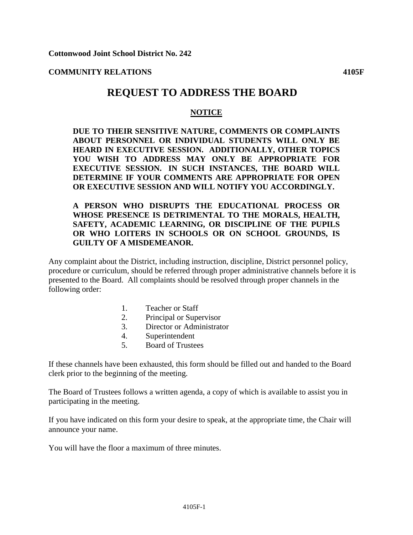**COMMUNITY RELATIONS 4105F**

## **REQUEST TO ADDRESS THE BOARD**

## **NOTICE**

**DUE TO THEIR SENSITIVE NATURE, COMMENTS OR COMPLAINTS ABOUT PERSONNEL OR INDIVIDUAL STUDENTS WILL ONLY BE HEARD IN EXECUTIVE SESSION. ADDITIONALLY, OTHER TOPICS YOU WISH TO ADDRESS MAY ONLY BE APPROPRIATE FOR EXECUTIVE SESSION. IN SUCH INSTANCES, THE BOARD WILL DETERMINE IF YOUR COMMENTS ARE APPROPRIATE FOR OPEN OR EXECUTIVE SESSION AND WILL NOTIFY YOU ACCORDINGLY.** 

## **A PERSON WHO DISRUPTS THE EDUCATIONAL PROCESS OR WHOSE PRESENCE IS DETRIMENTAL TO THE MORALS, HEALTH, SAFETY, ACADEMIC LEARNING, OR DISCIPLINE OF THE PUPILS OR WHO LOITERS IN SCHOOLS OR ON SCHOOL GROUNDS, IS GUILTY OF A MISDEMEANOR.**

Any complaint about the District, including instruction, discipline, District personnel policy, procedure or curriculum, should be referred through proper administrative channels before it is presented to the Board. All complaints should be resolved through proper channels in the following order:

- 1. Teacher or Staff
- 2. Principal or Supervisor
- 3. Director or Administrator
- 4. Superintendent
- 5. Board of Trustees

If these channels have been exhausted, this form should be filled out and handed to the Board clerk prior to the beginning of the meeting.

The Board of Trustees follows a written agenda, a copy of which is available to assist you in participating in the meeting.

If you have indicated on this form your desire to speak, at the appropriate time, the Chair will announce your name.

You will have the floor a maximum of three minutes.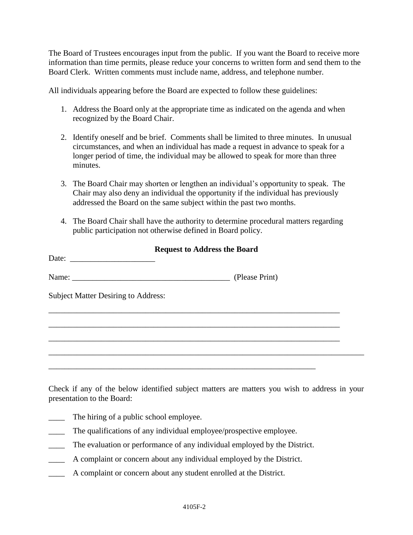The Board of Trustees encourages input from the public. If you want the Board to receive more information than time permits, please reduce your concerns to written form and send them to the Board Clerk. Written comments must include name, address, and telephone number.

All individuals appearing before the Board are expected to follow these guidelines:

- 1. Address the Board only at the appropriate time as indicated on the agenda and when recognized by the Board Chair.
- 2. Identify oneself and be brief. Comments shall be limited to three minutes. In unusual circumstances, and when an individual has made a request in advance to speak for a longer period of time, the individual may be allowed to speak for more than three minutes.
- 3. The Board Chair may shorten or lengthen an individual's opportunity to speak. The Chair may also deny an individual the opportunity if the individual has previously addressed the Board on the same subject within the past two months.
- 4. The Board Chair shall have the authority to determine procedural matters regarding public participation not otherwise defined in Board policy.

| <b>Request to Address the Board</b>        |  |  |
|--------------------------------------------|--|--|
|                                            |  |  |
|                                            |  |  |
| <b>Subject Matter Desiring to Address:</b> |  |  |
|                                            |  |  |
|                                            |  |  |
|                                            |  |  |
|                                            |  |  |
|                                            |  |  |

Check if any of the below identified subject matters are matters you wish to address in your presentation to the Board:

- The hiring of a public school employee.
- \_\_\_\_ The qualifications of any individual employee/prospective employee.
- \_\_\_\_ The evaluation or performance of any individual employed by the District.
- \_\_\_\_ A complaint or concern about any individual employed by the District.
- \_\_\_\_ A complaint or concern about any student enrolled at the District.